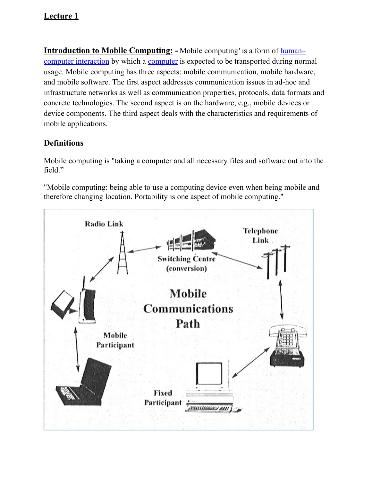**Introduction to Mobile Computing: -** Mobile computing*'* is a form of [human–](http://en.wikipedia.org/wiki/Human%E2%80%93computer_interaction) [computer interaction](http://en.wikipedia.org/wiki/Human%E2%80%93computer_interaction) by which a [computer](http://en.wikipedia.org/wiki/Computer) is expected to be transported during normal usage. Mobile computing has three aspects: mobile communication, mobile hardware, and mobile software. The first aspect addresses communication issues in ad-hoc and infrastructure networks as well as communication properties, protocols, data formats and concrete technologies. The second aspect is on the hardware, e.g., mobile devices or device components. The third aspect deals with the characteristics and requirements of mobile applications.

# **Definitions**

Mobile computing is "taking a computer and all necessary files and software out into the field."

"Mobile computing: being able to use a computing device even when being mobile and therefore changing location. Portability is one aspect of mobile computing."

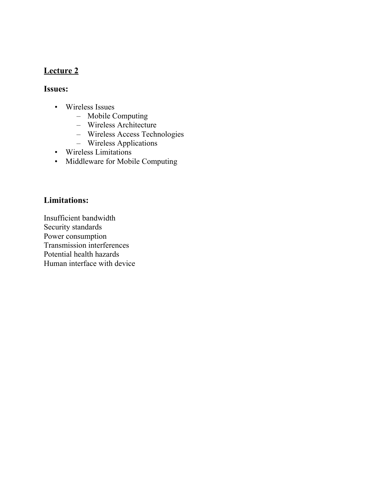### **Issues:**

- Wireless Issues
	- Mobile Computing
	- Wireless Architecture
	- Wireless Access Technologies
	- Wireless Applications
- Wireless Limitations
- Middleware for Mobile Computing

# **Limitations:**

Insufficient bandwidth Security standards Power consumption Transmission interferences Potential health hazards Human interface with device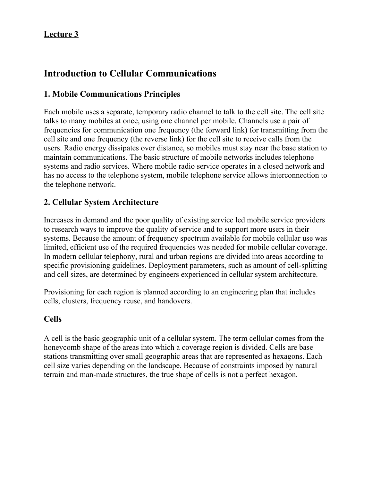# **Introduction to Cellular Communications**

# **1. Mobile Communications Principles**

Each mobile uses a separate, temporary radio channel to talk to the cell site. The cell site talks to many mobiles at once, using one channel per mobile. Channels use a pair of frequencies for communication one frequency (the forward link) for transmitting from the cell site and one frequency (the reverse link) for the cell site to receive calls from the users. Radio energy dissipates over distance, so mobiles must stay near the base station to maintain communications. The basic structure of mobile networks includes telephone systems and radio services. Where mobile radio service operates in a closed network and has no access to the telephone system, mobile telephone service allows interconnection to the telephone network.

### **2. Cellular System Architecture**

Increases in demand and the poor quality of existing service led mobile service providers to research ways to improve the quality of service and to support more users in their systems. Because the amount of frequency spectrum available for mobile cellular use was limited, efficient use of the required frequencies was needed for mobile cellular coverage. In modern cellular telephony, rural and urban regions are divided into areas according to specific provisioning guidelines. Deployment parameters, such as amount of cell-splitting and cell sizes, are determined by engineers experienced in cellular system architecture.

Provisioning for each region is planned according to an engineering plan that includes cells, clusters, frequency reuse, and handovers.

#### **Cells**

A cell is the basic geographic unit of a cellular system. The term cellular comes from the honeycomb shape of the areas into which a coverage region is divided. Cells are base stations transmitting over small geographic areas that are represented as hexagons. Each cell size varies depending on the landscape. Because of constraints imposed by natural terrain and man-made structures, the true shape of cells is not a perfect hexagon.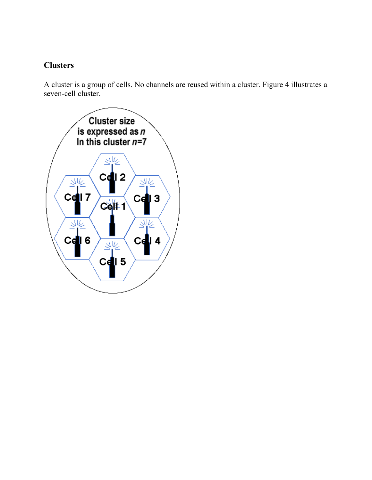# **Clusters**

A cluster is a group of cells. No channels are reused within a cluster. Figure 4 illustrates a seven-cell cluster.

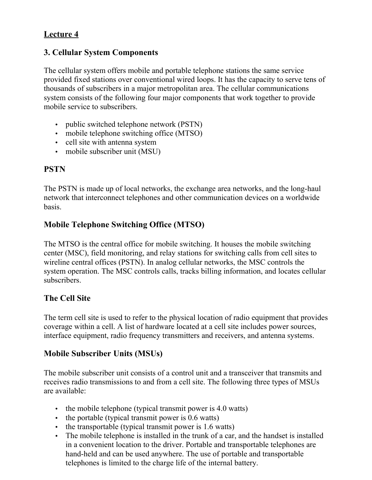### **3. Cellular System Components**

The cellular system offers mobile and portable telephone stations the same service provided fixed stations over conventional wired loops. It has the capacity to serve tens of thousands of subscribers in a major metropolitan area. The cellular communications system consists of the following four major components that work together to provide mobile service to subscribers.

- public switched telephone network (PSTN)
- mobile telephone switching office (MTSO)
- cell site with antenna system
- mobile subscriber unit (MSU)

# **PSTN**

The PSTN is made up of local networks, the exchange area networks, and the long-haul network that interconnect telephones and other communication devices on a worldwide basis.

# **Mobile Telephone Switching Office (MTSO)**

The MTSO is the central office for mobile switching. It houses the mobile switching center (MSC), field monitoring, and relay stations for switching calls from cell sites to wireline central offices (PSTN). In analog cellular networks, the MSC controls the system operation. The MSC controls calls, tracks billing information, and locates cellular subscribers.

### **The Cell Site**

The term cell site is used to refer to the physical location of radio equipment that provides coverage within a cell. A list of hardware located at a cell site includes power sources, interface equipment, radio frequency transmitters and receivers, and antenna systems.

### **Mobile Subscriber Units (MSUs)**

The mobile subscriber unit consists of a control unit and a transceiver that transmits and receives radio transmissions to and from a cell site. The following three types of MSUs are available:

- the mobile telephone (typical transmit power is 4.0 watts)
- the portable (typical transmit power is 0.6 watts)
- the transportable (typical transmit power is 1.6 watts)
- The mobile telephone is installed in the trunk of a car, and the handset is installed in a convenient location to the driver. Portable and transportable telephones are hand-held and can be used anywhere. The use of portable and transportable telephones is limited to the charge life of the internal battery.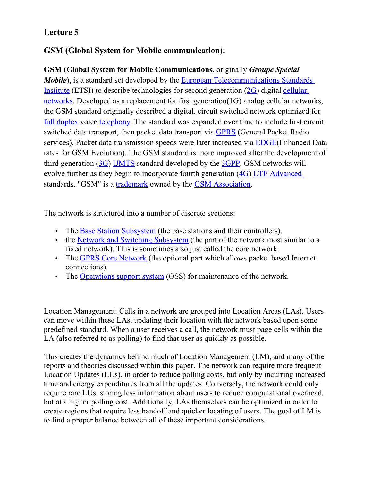# **GSM (Global System for Mobile communication):**

**GSM** (**Global System for Mobile Communications**, originally *Groupe Spécial Mobile*), is a standard set developed by the [European Telecommunications Standards](http://en.wikipedia.org/wiki/European_Telecommunications_Standards_Institute) [Institute](http://en.wikipedia.org/wiki/European_Telecommunications_Standards_Institute) (ETSI) to describe technologies for second generation [\(2G\)](http://en.wikipedia.org/wiki/2G) digital [cellular](http://en.wikipedia.org/wiki/Cellular_network) [networks.](http://en.wikipedia.org/wiki/Cellular_network) Developed as a replacement for first generation(1G) analog cellular networks, the GSM standard originally described a digital, circuit switched network optimized for [full duplex](http://en.wikipedia.org/wiki/Duplex_(telecommunications)#Full_duplex) voice [telephony.](http://en.wikipedia.org/wiki/Telephony) The standard was expanded over time to include first circuit switched data transport, then packet data transport via [GPRS](http://en.wikipedia.org/wiki/GPRS) (General Packet Radio services). Packet data transmission speeds were later increased via **EDGE**(Enhanced Data rates for GSM Evolution). The GSM standard is more improved after the development of third generation [\(3G\)](http://en.wikipedia.org/wiki/3G) [UMTS](http://en.wikipedia.org/wiki/UMTS) standard developed by the [3GPP.](http://en.wikipedia.org/wiki/3GPP) GSM networks will evolve further as they begin to incorporate fourth generation [\(4G\)](http://en.wikipedia.org/wiki/4G) [LTE Advanced](http://en.wikipedia.org/wiki/LTE_Advanced) standards. "GSM" is a [trademark](http://en.wikipedia.org/wiki/Trademark) owned by the [GSM Association.](http://en.wikipedia.org/wiki/GSM_Association)

The network is structured into a number of discrete sections:

- The [Base Station Subsystem](http://en.wikipedia.org/wiki/Base_Station_Subsystem) (the base stations and their controllers).
- the [Network and Switching Subsystem](http://en.wikipedia.org/wiki/Network_and_Switching_Subsystem) (the part of the network most similar to a fixed network). This is sometimes also just called the core network.
- The [GPRS Core Network](http://en.wikipedia.org/wiki/GPRS_Core_Network) (the optional part which allows packet based Internet connections).
- The [Operations support system](http://en.wikipedia.org/wiki/Operations_support_system) (OSS) for maintenance of the network.

Location Management: Cells in a network are grouped into Location Areas (LAs). Users can move within these LAs, updating their location with the network based upon some predefined standard. When a user receives a call, the network must page cells within the LA (also referred to as polling) to find that user as quickly as possible.

This creates the dynamics behind much of Location Management (LM), and many of the reports and theories discussed within this paper. The network can require more frequent Location Updates (LUs), in order to reduce polling costs, but only by incurring increased time and energy expenditures from all the updates. Conversely, the network could only require rare LUs, storing less information about users to reduce computational overhead, but at a higher polling cost. Additionally, LAs themselves can be optimized in order to create regions that require less handoff and quicker locating of users. The goal of LM is to find a proper balance between all of these important considerations.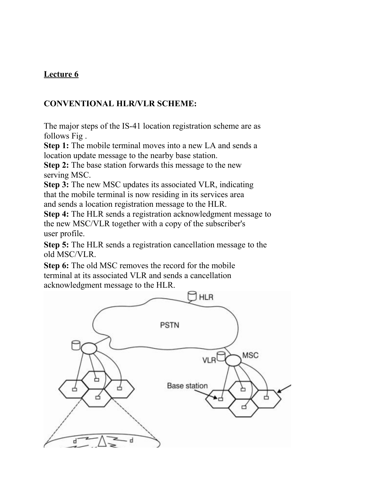# **CONVENTIONAL HLR/VLR SCHEME:**

The major steps of the IS-41 location registration scheme are as follows Fig .

**Step 1:** The mobile terminal moves into a new LA and sends a location update message to the nearby base station.

**Step 2:** The base station forwards this message to the new serving MSC.

**Step 3:** The new MSC updates its associated VLR, indicating that the mobile terminal is now residing in its services area and sends a location registration message to the HLR.

**Step 4:** The HLR sends a registration acknowledgment message to the new MSC/VLR together with a copy of the subscriber's user profile.

**Step 5:** The HLR sends a registration cancellation message to the old MSC/VLR.

**Step 6:** The old MSC removes the record for the mobile terminal at its associated VLR and sends a cancellation acknowledgment message to the HLR.

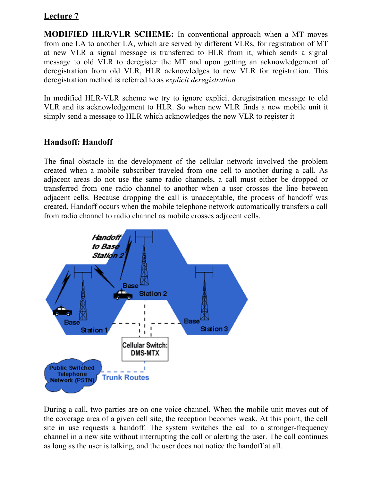**MODIFIED HLR/VLR SCHEME:** In conventional approach when a MT moves from one LA to another LA, which are served by different VLRs, for registration of MT at new VLR a signal message is transferred to HLR from it, which sends a signal message to old VLR to deregister the MT and upon getting an acknowledgement of deregistration from old VLR, HLR acknowledges to new VLR for registration. This deregistration method is referred to as *explicit deregistration*

In modified HLR-VLR scheme we try to ignore explicit deregistration message to old VLR and its acknowledgement to HLR. So when new VLR finds a new mobile unit it simply send a message to HLR which acknowledges the new VLR to register it

### **Handsoff: Handoff**

The final obstacle in the development of the cellular network involved the problem created when a mobile subscriber traveled from one cell to another during a call. As adjacent areas do not use the same radio channels, a call must either be dropped or transferred from one radio channel to another when a user crosses the line between adjacent cells. Because dropping the call is unacceptable, the process of handoff was created. Handoff occurs when the mobile telephone network automatically transfers a call from radio channel to radio channel as mobile crosses adjacent cells.



During a call, two parties are on one voice channel. When the mobile unit moves out of the coverage area of a given cell site, the reception becomes weak. At this point, the cell site in use requests a handoff. The system switches the call to a stronger-frequency channel in a new site without interrupting the call or alerting the user. The call continues as long as the user is talking, and the user does not notice the handoff at all.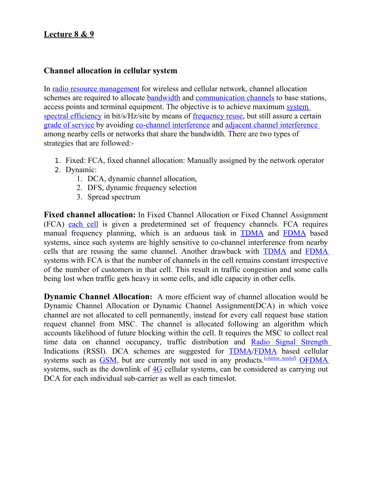### **Lecture 8 & 9**

#### **Channel allocation in cellular system**

In [radio resource management](http://en.wikipedia.org/wiki/Radio_resource_management) for wireless and cellular network, channel allocation schemes are required to allocate [bandwidth](http://en.wikipedia.org/wiki/Bandwidth_(signal_processing)) and [communication channels](http://en.wikipedia.org/wiki/Communication_channel) to base stations, access points and terminal equipment. The objective is to achieve maximum [system](http://en.wikipedia.org/wiki/System_spectral_efficiency) [spectral efficiency](http://en.wikipedia.org/wiki/System_spectral_efficiency) in bit/s/Hz/site by means of <u>frequency reuse</u>, but still assure a certain [grade of service](http://en.wikipedia.org/wiki/Grade_of_service) by avoiding [co-channel interference](http://en.wikipedia.org/wiki/Co-channel_interference) and [adjacent channel interference](http://en.wikipedia.org/wiki/Adjacent_channel_interference) among nearby cells or networks that share the bandwidth. There are two types of strategies that are followed:-

- 1. Fixed: FCA, fixed channel allocation: Manually assigned by the network operator
- 2. Dynamic:
	- 1. DCA, dynamic channel allocation,
	- 2. DFS, dynamic frequency selection
	- 3. Spread spectrum

**Fixed channel allocation:** In Fixed Channel Allocation or Fixed Channel Assignment (FCA) [each cell](http://en.wikipedia.org/wiki/Cellular_network) is given a predetermined set of frequency channels. FCA requires manual frequency planning, which is an arduous task in [TDMA](http://en.wikipedia.org/wiki/Time_division_multiple_access) and [FDMA](http://en.wikipedia.org/wiki/FDMA) based systems, since such systems are highly sensitive to co-channel interference from nearby cells that are reusing the same channel. Another drawback with [TDMA](http://en.wikipedia.org/wiki/Time_division_multiple_access) and [FDMA](http://en.wikipedia.org/wiki/FDMA) systems with FCA is that the number of channels in the cell remains constant irrespective of the number of customers in that cell. This result in traffic congestion and some calls being lost when traffic gets heavy in some cells, and idle capacity in other cells.

**Dynamic Channel Allocation:** A more efficient way of channel allocation would be Dynamic Channel Allocation or Dynamic Channel Assignment(DCA) in which voice channel are not allocated to cell permanently, instead for every call request base station request channel from MSC. The channel is allocated following an algorithm which accounts likelihood of future blocking within the cell. It requires the MSC to collect real time data on channel occupancy, traffic distribution and [Radio Signal Strength](http://en.wikipedia.org/w/index.php?title=Signal_Strength&action=edit&redlink=1) Indications (RSSI). DCA schemes are suggested for [TDMA/](http://en.wikipedia.org/wiki/Time_division_multiple_access)[FDMA](http://en.wikipedia.org/wiki/FDMA) based cellular systems such as **GSM**, but are currently not used in any products.<sup>[[citation needed](http://en.wikipedia.org/wiki/Wikipedia:Citation_needed)]</sup> **[OFDMA](http://en.wikipedia.org/wiki/OFDMA)** systems, such as the downlink of [4G](http://en.wikipedia.org/wiki/4G) cellular systems, can be considered as carrying out DCA for each individual sub-carrier as well as each timeslot.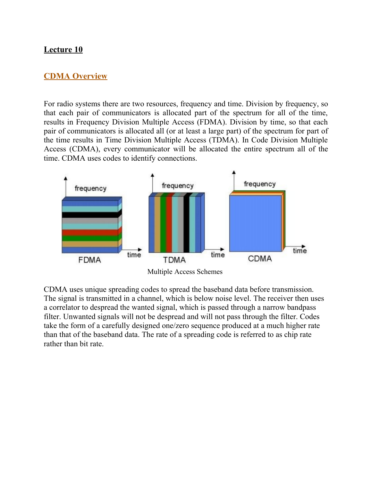#### **CDMA Overview**

For radio systems there are two resources, frequency and time. Division by frequency, so that each pair of communicators is allocated part of the spectrum for all of the time, results in Frequency Division Multiple Access (FDMA). Division by time, so that each pair of communicators is allocated all (or at least a large part) of the spectrum for part of the time results in Time Division Multiple Access (TDMA). In Code Division Multiple Access (CDMA), every communicator will be allocated the entire spectrum all of the time. CDMA uses codes to identify connections.



CDMA uses unique spreading codes to spread the baseband data before transmission. The signal is transmitted in a channel, which is below noise level. The receiver then uses a correlator to despread the wanted signal, which is passed through a narrow bandpass filter. Unwanted signals will not be despread and will not pass through the filter. Codes take the form of a carefully designed one/zero sequence produced at a much higher rate than that of the baseband data. The rate of a spreading code is referred to as chip rate rather than bit rate.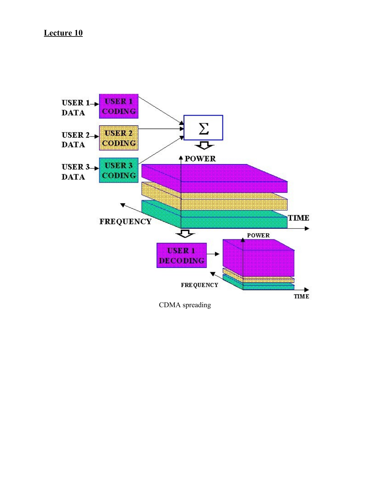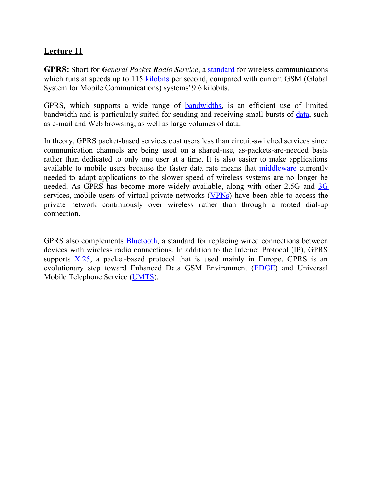**GPRS:** Short for *General Packet Radio Service*, a [standard](http://www.webopedia.com/TERM/S/standard.htm) for wireless communications which runs at speeds up to 115 [kilobits](http://www.webopedia.com/TERM/K/kilobit.htm) per second, compared with current GSM (Global System for Mobile Communications) systems' 9.6 kilobits.

GPRS, which supports a wide range of **bandwidths**, is an efficient use of limited bandwidth and is particularly suited for sending and receiving small bursts of [data,](http://www.webopedia.com/TERM/D/data.htm) such as e-mail and Web browsing, as well as large volumes of data.

In theory, GPRS packet-based services cost users less than circuit-switched services since communication channels are being used on a shared-use, as-packets-are-needed basis rather than dedicated to only one user at a time. It is also easier to make applications available to mobile users because the faster data rate means that [middleware](http://searchsoa.techtarget.com/definition/middleware) currently needed to adapt applications to the slower speed of wireless systems are no longer be needed. As GPRS has become more widely available, along with other 2.5G and [3G](http://searchtelecom.techtarget.com/definition/3G) services, mobile users of virtual private networks [\(VPNs\)](http://searchenterprisewan.techtarget.com/definition/virtual-private-network) have been able to access the private network continuously over wireless rather than through a rooted dial-up connection.

GPRS also complements [Bluetooth,](http://searchmobilecomputing.techtarget.com/definition/Bluetooth) a standard for replacing wired connections between devices with wireless radio connections. In addition to the Internet Protocol (IP), GPRS supports  $X<sub>0</sub> = 25$ , a packet-based protocol that is used mainly in Europe. GPRS is an evolutionary step toward Enhanced Data GSM Environment [\(EDGE\)](http://searchmobilecomputing.techtarget.com/definition/EDGE) and Universal Mobile Telephone Service [\(UMTS\)](http://searchmobilecomputing.techtarget.com/definition/UMTS).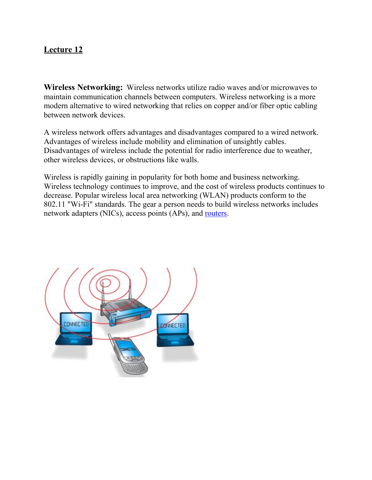**Wireless Networking:** Wireless networks utilize radio waves and/or microwaves to maintain communication channels between computers. Wireless networking is a more modern alternative to wired networking that relies on copper and/or fiber optic cabling between network devices.

A wireless network offers advantages and disadvantages compared to a wired network. Advantages of wireless include mobility and elimination of unsightly cables. Disadvantages of wireless include the potential for radio interference due to weather, other wireless devices, or obstructions like walls.

Wireless is rapidly gaining in popularity for both home and business networking. Wireless technology continues to improve, and the cost of wireless products continues to decrease. Popular wireless local area networking (WLAN) products conform to the 802.11 "Wi-Fi" standards. The gear a person needs to build wireless networks includes network adapters (NICs), access points (APs), and [routers.](http://compnetworking.about.com/library/glossary/bldef-router.htm)

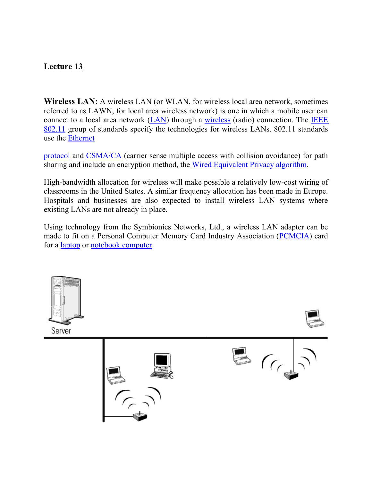**Wireless LAN:** A wireless LAN (or WLAN, for wireless local area network, sometimes referred to as LAWN, for local area wireless network) is one in which a mobile user can connect to a local area network [\(LAN\)](http://searchnetworking.techtarget.com/definition/local-area-network-LAN) through a [wireless](http://searchmobilecomputing.techtarget.com/definition/wireless) (radio) connection. The **IEEE** [802.11](http://searchmobilecomputing.techtarget.com/definition/80211) group of standards specify the technologies for wireless LANs. 802.11 standards use the [Ethernet](http://searchnetworking.techtarget.com/definition/Ethernet)

[protocol](http://searchnetworking.techtarget.com/definition/protocol) and [CSMA/CA](http://searchnetworking.techtarget.com/definition/CSMA-CA) (carrier sense multiple access with collision avoidance) for path sharing and include an encryption method, the [Wired Equivalent Privacy](http://searchsecurity.techtarget.com/sDefinition/0,,sid14_gci549087,00.html) [algorithm.](http://whatis.techtarget.com/definition/0,,sid9_gci211545,00.html)

High-bandwidth allocation for wireless will make possible a relatively low-cost wiring of classrooms in the United States. A similar frequency allocation has been made in Europe. Hospitals and businesses are also expected to install wireless LAN systems where existing LANs are not already in place.

Using technology from the Symbionics Networks, Ltd., a wireless LAN adapter can be made to fit on a Personal Computer Memory Card Industry Association [\(PCMCIA\)](http://searchwinit.techtarget.com/definition/Personal-Computer-Memory-Card-International-Association) card for a [laptop](http://searchmobilecomputing.techtarget.com/definition/laptop-computer) or [notebook computer.](http://searchmobilecomputing.techtarget.com/definition/notebook-computer)

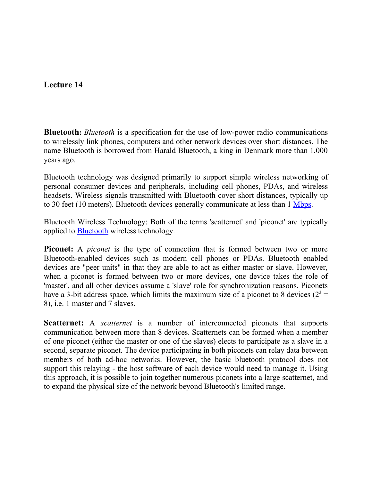**Bluetooth:** *Bluetooth* is a specification for the use of low-power radio communications to wirelessly link phones, computers and other network devices over short distances. The name Bluetooth is borrowed from Harald Bluetooth, a king in Denmark more than 1,000 years ago.

Bluetooth technology was designed primarily to support simple wireless networking of personal consumer devices and peripherals, including cell phones, PDAs, and wireless headsets. Wireless signals transmitted with Bluetooth cover short distances, typically up to 30 feet (10 meters). Bluetooth devices generally communicate at less than 1 [Mbps.](http://compnetworking.about.com/library/glossary/bldef-kbps.htm)

Bluetooth Wireless Technology: Both of the terms 'scatternet' and 'piconet' are typically applied to [Bluetooth](http://en.wikipedia.org/wiki/Bluetooth) wireless technology.

**Piconet:** A *piconet* is the type of connection that is formed between two or more Bluetooth-enabled devices such as modern cell phones or PDAs. Bluetooth enabled devices are "peer units" in that they are able to act as either master or slave. However, when a piconet is formed between two or more devices, one device takes the role of 'master', and all other devices assume a 'slave' role for synchronization reasons. Piconets have a 3-bit address space, which limits the maximum size of a piconet to 8 devices  $(2^3 =$ 8), i.e. 1 master and 7 slaves.

**Scatternet:** A *scatternet* is a number of interconnected piconets that supports communication between more than 8 devices. Scatternets can be formed when a member of one piconet (either the master or one of the slaves) elects to participate as a slave in a second, separate piconet. The device participating in both piconets can relay data between members of both ad-hoc networks. However, the basic bluetooth protocol does not support this relaying - the host software of each device would need to manage it. Using this approach, it is possible to join together numerous piconets into a large scatternet, and to expand the physical size of the network beyond Bluetooth's limited range.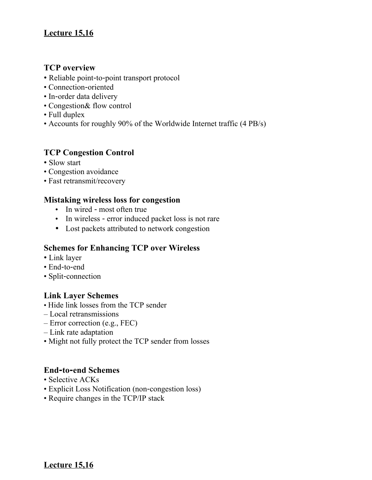# **Lecture 15,16**

#### **TCP overview**

- Reliable point-to-point transport protocol
- Connection‐oriented
- In-order data delivery
- Congestion& flow control
- Full duplex
- Accounts for roughly 90% of the Worldwide Internet traffic (4 PB/s)

### **TCP Congestion Control**

- Slow start
- Congestion avoidance
- Fast retransmit/recovery

#### **Mistaking wireless loss for congestion**

- In wired most often true
- In wireless error induced packet loss is not rare
- Lost packets attributed to network congestion

#### **Schemes for Enhancing TCP over Wireless**

- Link layer
- End‐to‐end
- Split-connection

#### **Link Layer Schemes**

- Hide link losses from the TCP sender
- Local retransmissions
- Error correction (e.g., FEC)
- Link rate adaptation
- Might not fully protect the TCP sender from losses

#### **End‐to‐end Schemes**

- Selective ACKs
- Explicit Loss Notification (non-congestion loss)
- Require changes in the TCP/IP stack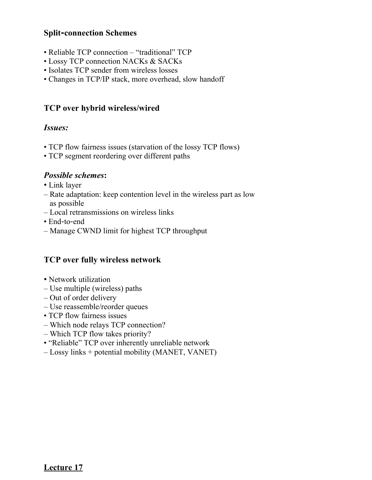### **Split‐connection Schemes**

- Reliable TCP connection "traditional" TCP
- Lossy TCP connection NACKs & SACKs
- Isolates TCP sender from wireless losses
- Changes in TCP/IP stack, more overhead, slow handoff

### **TCP over hybrid wireless/wired**

### *Issues:*

- TCP flow fairness issues (starvation of the lossy TCP flows)
- TCP segment reordering over different paths

### *Possible schemes***:**

- Link layer
- Rate adaptation: keep contention level in the wireless part as low as possible
- Local retransmissions on wireless links
- End-to-end
- Manage CWND limit for highest TCP throughput

### **TCP over fully wireless network**

- Network utilization
- Use multiple (wireless) paths
- Out of order delivery
- Use reassemble/reorder queues
- TCP flow fairness issues
- Which node relays TCP connection?
- Which TCP flow takes priority?
- "Reliable" TCP over inherently unreliable network
- Lossy links + potential mobility (MANET, VANET)